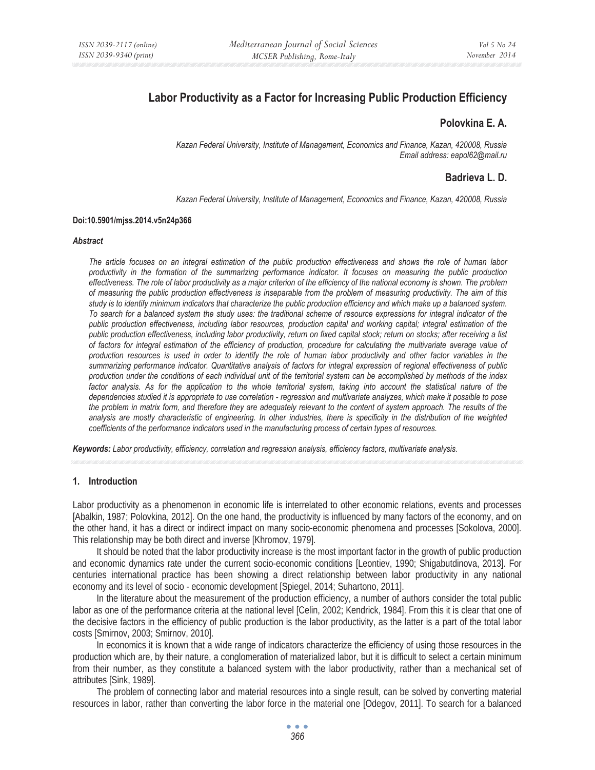# **Labor Productivity as a Factor for Increasing Public Production Efficiency**

# **Polovkina E. A.**

*Kazan Federal University, Institute of Management, Economics and Finance, Kazan, 420008, Russia Email address: eapol62@mail.ru* 

## **Badrieva L. D.**

*Kazan Federal University, Institute of Management, Economics and Finance, Kazan, 420008, Russia* 

#### **Doi:10.5901/mjss.2014.v5n24p366**

#### *Abstract*

*The article focuses on an integral estimation of the public production effectiveness and shows the role of human labor productivity in the formation of the summarizing performance indicator. It focuses on measuring the public production effectiveness. The role of labor productivity as a major criterion of the efficiency of the national economy is shown. The problem of measuring the public production effectiveness is inseparable from the problem of measuring productivity. The aim of this study is to identify minimum indicators that characterize the public production efficiency and which make up a balanced system. To search for a balanced system the study uses: the traditional scheme of resource expressions for integral indicator of the public production effectiveness, including labor resources, production capital and working capital; integral estimation of the public production effectiveness, including labor productivity, return on fixed capital stock; return on stocks; after receiving a list of factors for integral estimation of the efficiency of production, procedure for calculating the multivariate average value of production resources is used in order to identify the role of human labor productivity and other factor variables in the summarizing performance indicator. Quantitative analysis of factors for integral expression of regional effectiveness of public production under the conditions of each individual unit of the territorial system can be accomplished by methods of the index*  factor analysis. As for the application to the whole territorial system, taking into account the statistical nature of the *dependencies studied it is appropriate to use correlation - regression and multivariate analyzes, which make it possible to pose the problem in matrix form, and therefore they are adequately relevant to the content of system approach. The results of the*  analysis are mostly characteristic of engineering. In other industries, there is specificity in the distribution of the weighted *coefficients of the performance indicators used in the manufacturing process of certain types of resources.* 

*Keywords: Labor productivity, efficiency, correlation and regression analysis, efficiency factors, multivariate analysis.* 

#### **1. Introduction**

Labor productivity as a phenomenon in economic life is interrelated to other economic relations, events and processes [Abalkin, 1987; Polovkina, 2012]. On the one hand, the productivity is influenced by many factors of the economy, and on the other hand, it has a direct or indirect impact on many socio-economic phenomena and processes [Sokolova, 2000]. This relationship may be both direct and inverse [Khromov, 1979].

It should be noted that the labor productivity increase is the most important factor in the growth of public production and economic dynamics rate under the current socio-economic conditions [Leontiev, 1990; Shigabutdinova, 2013]. For centuries international practice has been showing a direct relationship between labor productivity in any national economy and its level of socio - economic development [Spiegel, 2014; Suhartono, 2011].

In the literature about the measurement of the production efficiency, a number of authors consider the total public labor as one of the performance criteria at the national level [Celin, 2002; Kendrick, 1984]. From this it is clear that one of the decisive factors in the efficiency of public production is the labor productivity, as the latter is a part of the total labor costs [Smirnov, 2003; Smirnov, 2010].

In economics it is known that a wide range of indicators characterize the efficiency of using those resources in the production which are, by their nature, a conglomeration of materialized labor, but it is difficult to select a certain minimum from their number, as they constitute a balanced system with the labor productivity, rather than a mechanical set of attributes [Sink, 1989].

The problem of connecting labor and material resources into a single result, can be solved by converting material resources in labor, rather than converting the labor force in the material one [Odegov, 2011]. To search for a balanced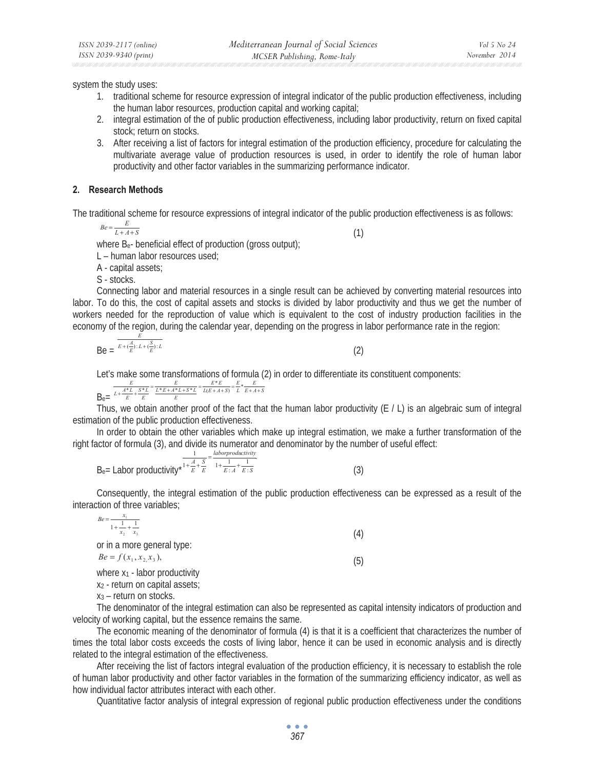system the study uses:

- 1. traditional scheme for resource expression of integral indicator of the public production effectiveness, including the human labor resources, production capital and working capital;
- 2. integral estimation of the of public production effectiveness, including labor productivity, return on fixed capital stock; return on stocks.
- 3. After receiving a list of factors for integral estimation of the production efficiency, procedure for calculating the multivariate average value of production resources is used, in order to identify the role of human labor productivity and other factor variables in the summarizing performance indicator.

#### **2. Research Methods**

The traditional scheme for resource expressions of integral indicator of the public production effectiveness is as follows:

 $Be = \frac{E}{L + A + S}$  (1) where Be- beneficial effect of production (gross output);

L – human labor resources used;

A - capital assets;

S - stocks.

Connecting labor and material resources in a single result can be achieved by converting material resources into labor. To do this, the cost of capital assets and stocks is divided by labor productivity and thus we get the number of workers needed for the reproduction of value which is equivalent to the cost of industry production facilities in the economy of the region, during the calendar year, depending on the progress in labor performance rate in the region:

Be = 
$$
\frac{E}{E + (\frac{A}{E}) \cdot L + (\frac{S}{E}) \cdot L}
$$
 (2)

Let's make some transformations of formula (2) in order to differentiate its constituent components:

 $B_e = \frac{E}{L + \frac{A * L}{E} + \frac{S * L}{E}} = \frac{E}{L * E + A * L + S * L} = \frac{E * E}{L(E + A + S)} = \frac{E}{L} * \frac{E}{E + A + S}$  $\frac{E}{L^*E + A^*L + S^*L}$  $\frac{E}{L + \frac{A^*L}{E} + \frac{S^*L}{E}} = \frac{\frac{E}{L^*E + A^*L + S^*L}}{E} = \frac{E^*E}{L(E + A + S)} = \frac{E}{L} * \frac{E}{E + A +$ 

Thus, we obtain another proof of the fact that the human labor productivity  $(E / L)$  is an algebraic sum of integral estimation of the public production effectiveness.

In order to obtain the other variables which make up integral estimation, we make a further transformation of the right factor of formula (3), and divide its numerator and denominator by the number of useful effect:

$$
B_e = \text{Labor productivity} \times \frac{1}{1 + \frac{A}{E} + \frac{S}{E}} = \frac{laborproductivity}{1 + \frac{1}{E \cdot A} + \frac{1}{E \cdot S}} \tag{3}
$$

Consequently, the integral estimation of the public production effectiveness can be expressed as a result of the interaction of three variables;

| $Be = \frac{x_1}{1 + \frac{1}{1} + \frac{1}{1}}$<br>$x_2$ $x_2$ | (4) |
|-----------------------------------------------------------------|-----|
| or in a more general type:                                      |     |
| $Be = f(x_1, x_2, x_3),$                                        | (5) |
| where $x_1$ - labor productivity                                |     |
| x <sub>2</sub> - return on capital assets;                      |     |

 $x_3$  – return on stocks.

The denominator of the integral estimation can also be represented as capital intensity indicators of production and velocity of working capital, but the essence remains the same.

The economic meaning of the denominator of formula (4) is that it is a coefficient that characterizes the number of times the total labor costs exceeds the costs of living labor, hence it can be used in economic analysis and is directly related to the integral estimation of the effectiveness.

After receiving the list of factors integral evaluation of the production efficiency, it is necessary to establish the role of human labor productivity and other factor variables in the formation of the summarizing efficiency indicator, as well as how individual factor attributes interact with each other.

Quantitative factor analysis of integral expression of regional public production effectiveness under the conditions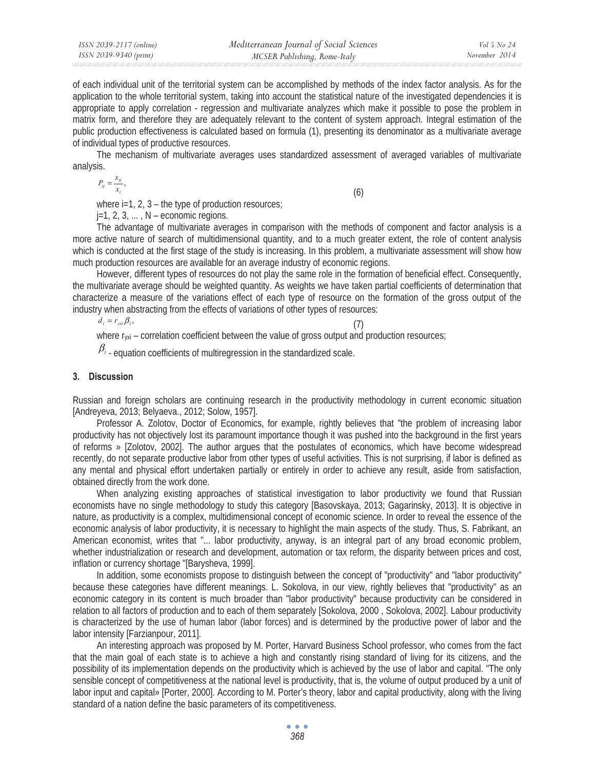| ISSN 2039-2117 (online) | Mediterranean Journal of Social Sciences | Vol 5 No 24   |
|-------------------------|------------------------------------------|---------------|
| ISSN 2039-9340 (print)  | MCSER Publishing, Rome-Italy             | November 2014 |

of each individual unit of the territorial system can be accomplished by methods of the index factor analysis. As for the application to the whole territorial system, taking into account the statistical nature of the investigated dependencies it is appropriate to apply correlation - regression and multivariate analyzes which make it possible to pose the problem in matrix form, and therefore they are adequately relevant to the content of system approach. Integral estimation of the public production effectiveness is calculated based on formula (1), presenting its denominator as a multivariate average of individual types of productive resources.

The mechanism of multivariate averages uses standardized assessment of averaged variables of multivariate analysis.

$$
P_{ij} = \frac{x_{ij}}{x_i},
$$

where  $i=1$ , 2, 3 – the type of production resources;

 $j=1, 2, 3, \ldots$ , N – economic regions.

The advantage of multivariate averages in comparison with the methods of component and factor analysis is a more active nature of search of multidimensional quantity, and to a much greater extent, the role of content analysis which is conducted at the first stage of the study is increasing. In this problem, a multivariate assessment will show how much production resources are available for an average industry of economic regions.

However, different types of resources do not play the same role in the formation of beneficial effect. Consequently, the multivariate average should be weighted quantity. As weights we have taken partial coefficients of determination that characterize a measure of the variations effect of each type of resource on the formation of the gross output of the industry when abstracting from the effects of variations of other types of resources:

 $d_i = r_{\text{vxi}} \beta_i$ ,

#### (7)

where r<sub>yxi</sub> – correlation coefficient between the value of gross output and production resources;

 $\beta_i$  <sub>-</sub> equation coefficients of multiregression in the standardized scale.

(6)

#### **3. Discussion**

Russian and foreign scholars are continuing research in the productivity methodology in current economic situation [Andreyeva, 2013; Belyaeva., 2012; Solow, 1957].

Professor A. Zolotov, Doctor of Economics, for example, rightly believes that "the problem of increasing labor productivity has not objectively lost its paramount importance though it was pushed into the background in the first years of reforms » [Zolotov, 2002]. The author argues that the postulates of economics, which have become widespread recently, do not separate productive labor from other types of useful activities. This is not surprising, if labor is defined as any mental and physical effort undertaken partially or entirely in order to achieve any result, aside from satisfaction, obtained directly from the work done.

When analyzing existing approaches of statistical investigation to labor productivity we found that Russian economists have no single methodology to study this category [Basovskaya, 2013; Gagarinsky, 2013]. It is objective in nature, as productivity is a complex, multidimensional concept of economic science. In order to reveal the essence of the economic analysis of labor productivity, it is necessary to highlight the main aspects of the study. Thus, S. Fabrikant, an American economist, writes that "... labor productivity, anyway, is an integral part of any broad economic problem, whether industrialization or research and development, automation or tax reform, the disparity between prices and cost, inflation or currency shortage "[Barysheva, 1999].

In addition, some economists propose to distinguish between the concept of "productivity" and "labor productivity" because these categories have different meanings. L. Sokolova, in our view, rightly believes that "productivity" as an economic category in its content is much broader than "labor productivity" because productivity can be considered in relation to all factors of production and to each of them separately [Sokolova, 2000 , Sokolova, 2002]. Labour productivity is characterized by the use of human labor (labor forces) and is determined by the productive power of labor and the labor intensity [Farzianpour, 2011].

An interesting approach was proposed by M. Porter, Harvard Business School professor, who comes from the fact that the main goal of each state is to achieve a high and constantly rising standard of living for its citizens, and the possibility of its implementation depends on the productivity which is achieved by the use of labor and capital. "The only sensible concept of competitiveness at the national level is productivity, that is, the volume of output produced by a unit of labor input and capital» [Porter, 2000]. According to M. Porter's theory, labor and capital productivity, along with the living standard of a nation define the basic parameters of its competitiveness.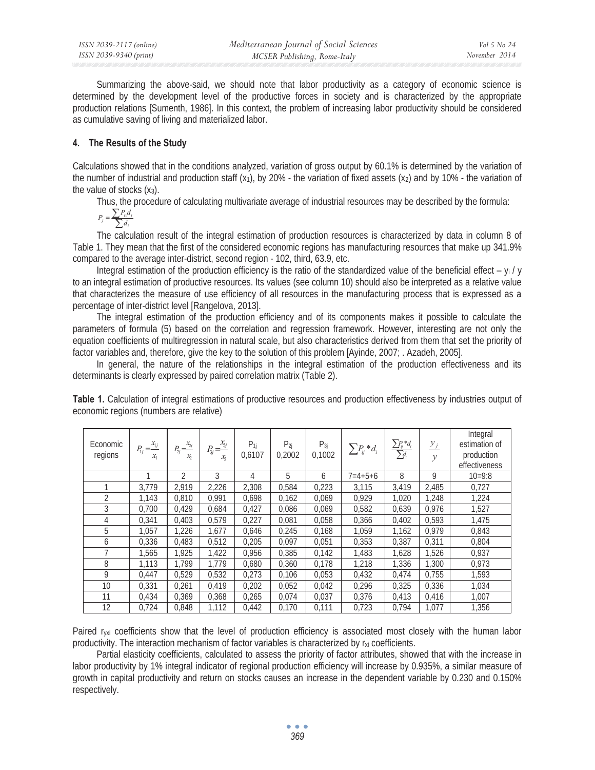Summarizing the above-said, we should note that labor productivity as a category of economic science is determined by the development level of the productive forces in society and is characterized by the appropriate production relations [Sumenth, 1986]. In this context, the problem of increasing labor productivity should be considered as cumulative saving of living and materialized labor.

### **4. The Results of the Study**

Calculations showed that in the conditions analyzed, variation of gross output by 60.1% is determined by the variation of the number of industrial and production staff  $(x_1)$ , by 20% - the variation of fixed assets  $(x_2)$  and by 10% - the variation of the value of stocks  $(x_3)$ .

Thus, the procedure of calculating multivariate average of industrial resources may be described by the formula:

 $=\frac{\sum P_{i1}a_i}{\sum d_i}$  $\vec{y} = \frac{\sum_i \vec{y}_i} d_i$  $P_i = \frac{\sum P_{i1}d}{\sum_i p_i}$ 

The calculation result of the integral estimation of production resources is characterized by data in column 8 of Table 1. They mean that the first of the considered economic regions has manufacturing resources that make up 341.9% compared to the average inter-district, second region - 102, third, 63.9, etc.

Integral estimation of the production efficiency is the ratio of the standardized value of the beneficial effect –  $y_i / y$ to an integral estimation of productive resources. Its values (see column 10) should also be interpreted as a relative value that characterizes the measure of use efficiency of all resources in the manufacturing process that is expressed as a percentage of inter-district level [Rangelova, 2013].

The integral estimation of the production efficiency and of its components makes it possible to calculate the parameters of formula (5) based on the correlation and regression framework. However, interesting are not only the equation coefficients of multiregression in natural scale, but also characteristics derived from them that set the priority of factor variables and, therefore, give the key to the solution of this problem [Ayinde, 2007; . Azadeh, 2005].

In general, the nature of the relationships in the integral estimation of the production effectiveness and its determinants is clearly expressed by paired correlation matrix (Table 2).

| Economic<br>regions | $P_{1j} = \frac{x_{1j}}{x_1}$ | $P_{2j} = \frac{x_{2j}}{x_2}$ | $P_{3j} = \frac{x_{3j}}{x_3}$ | $P_{1j}$<br>0,6107 | $P_{2j}$<br>0,2002 | $P_{3j}$<br>0,1002 | $\sum P_{ij} * d_i$ | $\frac{\sum P_{ij} * d_i}{\sum d_i}$ | $\underline{y_j}$<br>$\overline{\nu}$ | Integral<br>estimation of<br>production<br>effectiveness |  |
|---------------------|-------------------------------|-------------------------------|-------------------------------|--------------------|--------------------|--------------------|---------------------|--------------------------------------|---------------------------------------|----------------------------------------------------------|--|
|                     |                               | 2                             | 3                             | 4                  | 5                  | 6                  | $7 = 4 + 5 + 6$     | 8                                    | 9                                     | $10=9:8$                                                 |  |
|                     | 3.779                         | 2.919                         | 2,226                         | 2,308              | 0,584              | 0,223              | 3,115               | 3.419                                | 2,485                                 | 0,727                                                    |  |
| $\overline{2}$      | 1.143                         | 0.810                         | 0.991                         | 0.698              | 0,162              | 0,069              | 0.929               | 1.020                                | 1,248                                 | 1,224                                                    |  |
| 3                   | 0.700                         | 0,429                         | 0,684                         | 0,427              | 0,086              | 0,069              | 0,582               | 0,639                                | 0,976                                 | 1,527                                                    |  |
| 4                   | 0.341                         | 0,403                         | 0,579                         | 0,227              | 0,081              | 0,058              | 0,366               | 0,402                                | 0,593                                 | 1,475                                                    |  |
| 5                   | 1.057                         | 1,226                         | 1.677                         | 0,646              | 0,245              | 0,168              | 1,059               | 1.162                                | 0,979                                 | 0,843                                                    |  |
| 6                   | 0,336                         | 0,483                         | 0,512                         | 0,205              | 0,097              | 0,051              | 0,353               | 0.387                                | 0,311                                 | 0,804                                                    |  |
| 7                   | 1,565                         | 1,925                         | 1,422                         | 0,956              | 0,385              | 0,142              | 1,483               | 1,628                                | 1,526                                 | 0,937                                                    |  |
| 8                   | 1.113                         | 1,799                         | 1.779                         | 0,680              | 0,360              | 0,178              | 1,218               | 1,336                                | 1,300                                 | 0,973                                                    |  |
| 9                   | 0,447                         | 0,529                         | 0,532                         | 0,273              | 0,106              | 0,053              | 0,432               | 0,474                                | 0,755                                 | 1,593                                                    |  |
| 10                  | 0.331                         | 0,261                         | 0.419                         | 0,202              | 0,052              | 0,042              | 0,296               | 0.325                                | 0,336                                 | 1,034                                                    |  |
| 11                  | 0,434                         | 0,369                         | 0,368                         | 0,265              | 0,074              | 0,037              | 0,376               | 0,413                                | 0,416                                 | 1,007                                                    |  |
| 12                  | 0,724                         | 0,848                         | 1,112                         | 0,442              | 0,170              | 0,111              | 0,723               | 0.794                                | 1,077                                 | 1,356                                                    |  |

**Table 1.** Calculation of integral estimations of productive resources and production effectiveness by industries output of economic regions (numbers are relative)

Paired r<sub>yxi</sub> coefficients show that the level of production efficiency is associated most closely with the human labor productivity. The interaction mechanism of factor variables is characterized by  $r_{xi}$  coefficients.

Partial elasticity coefficients, calculated to assess the priority of factor attributes, showed that with the increase in labor productivity by 1% integral indicator of regional production efficiency will increase by 0.935%, a similar measure of growth in capital productivity and return on stocks causes an increase in the dependent variable by 0.230 and 0.150% respectively.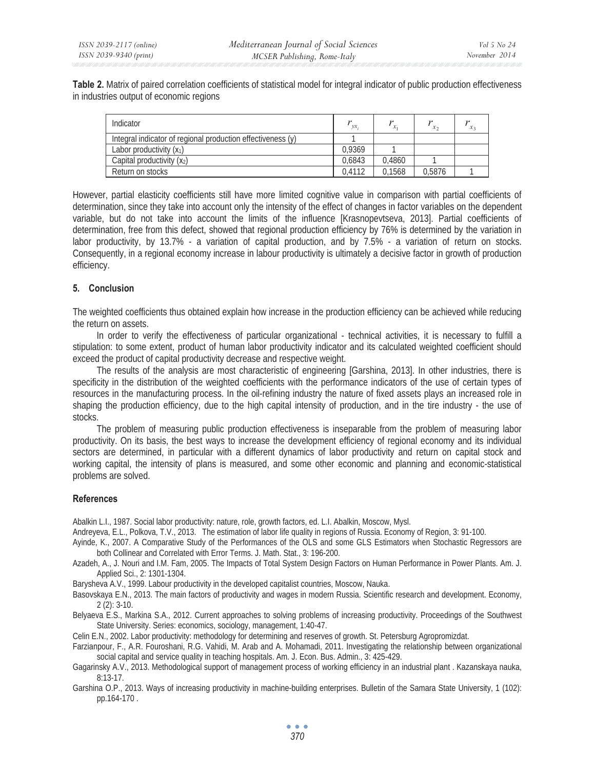**Table 2.** Matrix of paired correlation coefficients of statistical model for integral indicator of public production effectiveness in industries output of economic regions

| Indicator                                                   | $\mathcal{V}\mathcal{X}$ |        |        |  |
|-------------------------------------------------------------|--------------------------|--------|--------|--|
| Integral indicator of regional production effectiveness (y) |                          |        |        |  |
| Labor productivity $(x_1)$                                  | 0.9369                   |        |        |  |
| Capital productivity $(x_2)$                                | 0.6843                   | 0.4860 |        |  |
| Return on stocks                                            | 0.4112                   | 0.1568 | 0.5876 |  |

However, partial elasticity coefficients still have more limited cognitive value in comparison with partial coefficients of determination, since they take into account only the intensity of the effect of changes in factor variables on the dependent variable, but do not take into account the limits of the influence [Krasnopevtseva, 2013]. Partial coefficients of determination, free from this defect, showed that regional production efficiency by 76% is determined by the variation in labor productivity, by 13.7% - a variation of capital production, and by 7.5% - a variation of return on stocks. Consequently, in a regional economy increase in labour productivity is ultimately a decisive factor in growth of production efficiency.

### **5. Conclusion**

The weighted coefficients thus obtained explain how increase in the production efficiency can be achieved while reducing the return on assets.

In order to verify the effectiveness of particular organizational - technical activities, it is necessary to fulfill a stipulation: to some extent, product of human labor productivity indicator and its calculated weighted coefficient should exceed the product of capital productivity decrease and respective weight.

The results of the analysis are most characteristic of engineering [Garshina, 2013]. In other industries, there is specificity in the distribution of the weighted coefficients with the performance indicators of the use of certain types of resources in the manufacturing process. In the oil-refining industry the nature of fixed assets plays an increased role in shaping the production efficiency, due to the high capital intensity of production, and in the tire industry - the use of stocks.

The problem of measuring public production effectiveness is inseparable from the problem of measuring labor productivity. On its basis, the best ways to increase the development efficiency of regional economy and its individual sectors are determined, in particular with a different dynamics of labor productivity and return on capital stock and working capital, the intensity of plans is measured, and some other economic and planning and economic-statistical problems are solved.

#### **References**

Abalkin L.I., 1987. Social labor productivity: nature, role, growth factors, ed. L.I. Abalkin, Moscow, Mysl.

- Andreyeva, E.L., Polkova, T.V., 2013. The estimation of labor life quality in regions of Russia. Economy of Region, 3: 91-100.
- Ayinde, K., 2007. A Comparative Study of the Performances of the OLS and some GLS Estimators when Stochastic Regressors are both Collinear and Correlated with Error Terms. J. Math. Stat., 3: 196-200.
- Azadeh, A., J. Nouri and I.M. Fam, 2005. The Impacts of Total System Design Factors on Human Performance in Power Plants. Am. J. Applied Sci., 2: 1301-1304.
- Barysheva A.V., 1999. Labour productivity in the developed capitalist countries, Moscow, Nauka.
- Basovskaya E.N., 2013. The main factors of productivity and wages in modern Russia. Scientific research and development. Economy, 2 (2): 3-10.
- Belyaeva E.S., Markina S.A., 2012. Current approaches to solving problems of increasing productivity. Proceedings of the Southwest State University. Series: economics, sociology, management, 1:40-47.
- Celin E.N., 2002. Labor productivity: methodology for determining and reserves of growth. St. Petersburg Agropromizdat.
- Farzianpour, F., A.R. Fouroshani, R.G. Vahidi, M. Arab and A. Mohamadi, 2011. Investigating the relationship between organizational social capital and service quality in teaching hospitals. Am. J. Econ. Bus. Admin., 3: 425-429.
- Gagarinsky A.V., 2013. Methodological support of management process of working efficiency in an industrial plant . Kazanskaya nauka, 8:13-17.
- Garshina O.P., 2013. Ways of increasing productivity in machine-building enterprises. Bulletin of the Samara State University, 1 (102): pp.164-170 .